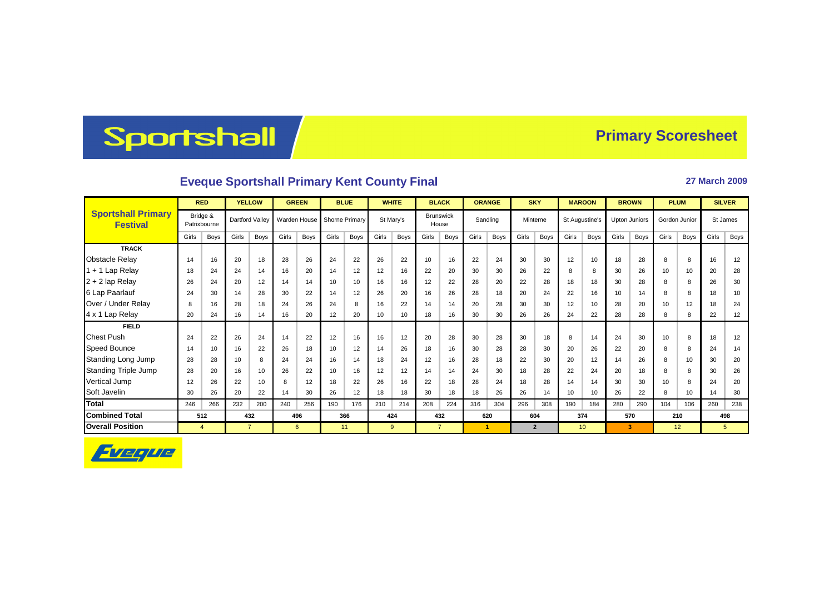## Sportshall

## **Primary Scoresheet**

## **Eveque Sportshall Primary Kent County Final <b>2009** 27 March 2009

|                                              | <b>RED</b>     |                          | <b>YELLOW</b>  |                 | <b>GREEN</b> |              | <b>BLUE</b> |                | <b>WHITE</b> |           | <b>BLACK</b> |                           | <b>ORANGE</b> |             | <b>SKY</b> |                | <b>MAROON</b> |                 | <b>BROWN</b> |                      | <b>PLUM</b> |               | <b>SILVER</b> |      |
|----------------------------------------------|----------------|--------------------------|----------------|-----------------|--------------|--------------|-------------|----------------|--------------|-----------|--------------|---------------------------|---------------|-------------|------------|----------------|---------------|-----------------|--------------|----------------------|-------------|---------------|---------------|------|
| <b>Sportshall Primary</b><br><b>Festival</b> |                | Bridge &<br>Patrixbourne |                | Dartford Valley |              | Warden House |             | Shorne Primary |              | St Marv's |              | <b>Brunswick</b><br>House |               | Sandling    |            | Minterne       |               | St Augustine's  |              | <b>Upton Juniors</b> |             | Gordon Junior | St James      |      |
|                                              | Girls          | <b>Boys</b>              | Girls          | Boys            | Girls        | Boys         | Girls       | Boys           | Girls        | Boys      | Girls        | Boys                      | Girls         | <b>Boys</b> | Girls      | Boys           | Girls         | <b>Boys</b>     | Girls        | Boys                 | Girls       | Boys          | Girls         | Boys |
| <b>TRACK</b>                                 |                |                          |                |                 |              |              |             |                |              |           |              |                           |               |             |            |                |               |                 |              |                      |             |               |               |      |
| <b>Obstacle Relay</b>                        | 14             | 16                       | 20             | 18              | 28           | 26           | 24          | 22             | 26           | 22        | 10           | 16                        | 22            | 24          | 30         | 30             | 12            | 10              | 18           | 28                   | 8           | 8             | 16            | 12   |
| $1 + 1$ Lap Relay                            | 18             | 24                       | 24             | 14              | 16           | 20           | 14          | 12             | 12           | 16        | 22           | 20                        | 30            | 30          | 26         | 22             | 8             | 8               | 30           | 26                   | 10          | 10            | 20            | 28   |
| 2 + 2 lap Relay                              | 26             | 24                       | 20             | 12              | 14           | 14           | 10          | 10             | 16           | 16        | 12           | 22                        | 28            | 20          | 22         | 28             | 18            | 18              | 30           | 28                   | 8           | 8             | 26            | 30   |
| 6 Lap Paarlauf                               | 24             | 30                       | 14             | 28              | 30           | 22           | 14          | 12             | 26           | 20        | 16           | 26                        | 28            | 18          | 20         | 24             | 22            | 16              | 10           | 14                   | 8           | 8             | 18            | 10   |
| Over / Under Relay                           | 8              | 16                       | 28             | 18              | 24           | 26           | 24          | 8              | 16           | 22        | 14           | 14                        | 20            | 28          | 30         | 30             | 12            | 10              | 28           | 20                   | 10          | 12            | 18            | 24   |
| 4 x 1 Lap Relay                              | 20             | 24                       | 16             | 14              | 16           | 20           | 12          | 20             | 10           | 10        | 18           | 16                        | 30            | 30          | 26         | 26             | 24            | 22              | 28           | 28                   | 8           | 8             | 22            | 12   |
| <b>FIELD</b>                                 |                |                          |                |                 |              |              |             |                |              |           |              |                           |               |             |            |                |               |                 |              |                      |             |               |               |      |
| <b>Chest Push</b>                            | 24             | 22                       | 26             | 24              | 14           | 22           | 12          | 16             | 16           | 12        | 20           | 28                        | 30            | 28          | 30         | 18             | 8             | 14              | 24           | 30                   | 10          | 8             | 18            | 12   |
| <b>Speed Bounce</b>                          | 14             | 10                       | 16             | 22              | 26           | 18           | 10          | 12             | 14           | 26        | 18           | 16                        | 30            | 28          | 28         | 30             | 20            | 26              | 22           | 20                   | 8           | 8             | 24            | 14   |
| Standing Long Jump                           | 28             | 28                       | 10             | 8               | 24           | 24           | 16          | 14             | 18           | 24        | 12           | 16                        | 28            | 18          | 22         | 30             | 20            | 12              | 14           | 26                   | 8           | 10            | 30            | 20   |
| <b>Standing Triple Jump</b>                  | 28             | 20                       | 16             | 10              | 26           | 22           | 10          | 16             | 12           | 12        | 14           | 14                        | 24            | 30          | 18         | 28             | 22            | 24              | 20           | 18                   | 8           | 8             | 30            | 26   |
| Vertical Jump                                | 12             | 26                       | 22             | 10              | 8            | 12           | 18          | 22             | 26           | 16        | 22           | 18                        | 28            | 24          | 18         | 28             | 14            | 14              | 30           | 30                   | 10          | 8             | 24            | 20   |
| Soft Javelin                                 | 30             | 26                       | 20             | 22              | 14           | 30           | 26          | 12             | 18           | 18        | 30           | 18                        | 18            | 26          | 26         | 14             | 10            | 10              | 26           | 22                   | 8           | 10            | 14            | 30   |
| <b>Total</b>                                 | 246            | 266                      | 232            | 200             | 240          | 256          | 190         | 176            | 210          | 214       | 208          | 224                       | 316           | 304         | 296        | 308            | 190           | 184             | 280          | 290                  | 104         | 106           | 260           | 238  |
| <b>Combined Total</b>                        |                | 512                      | 432            |                 | 496          |              | 366         |                | 424          |           | 432          |                           | 620           |             | 604        |                | 374           |                 | 570          |                      | 210         |               | 498           |      |
| <b>Overall Position</b>                      | $\overline{4}$ |                          | $\overline{7}$ |                 | 6            |              |             | 11             |              | 9         |              | $\overline{7}$            |               | 1           |            | $\overline{2}$ |               | 10 <sup>1</sup> |              | 3                    |             | 12            |               | 5    |

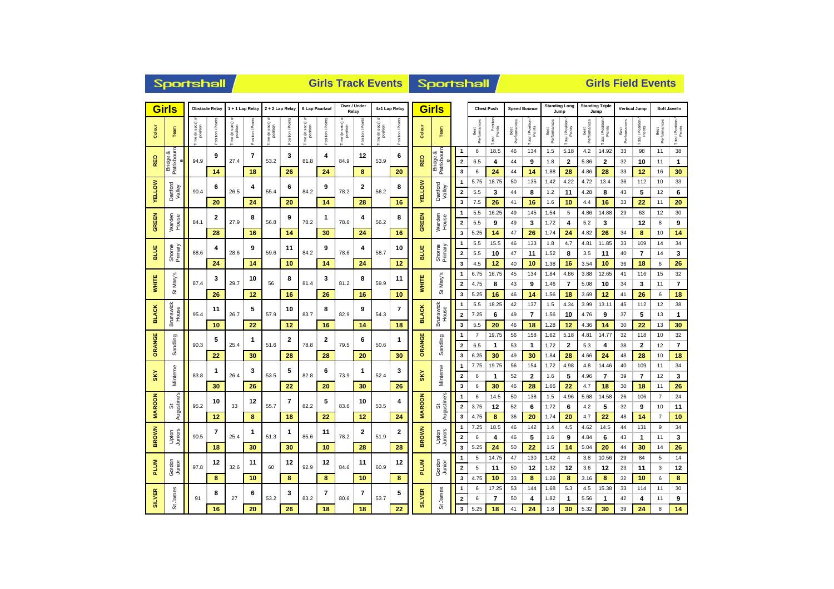| <b>Girls</b>            |                             | <b>Obstacle Relay</b>      |             | 1 + 1 Lap Relay            |                | 2 + 2 Lap Relay                                                 |                  | 6 Lap Paarlauf                      |                  | Over / Under<br>Relay   |                 | 4x1 Lap Relay                       |                   |                 | <b>Girls</b>            |                         |                      | <b>Chest Push</b> |                      | <b>Speed Bounce</b> | Jump               | <b>Standing Long</b>    | <b>Standing Triple</b><br>Jump |                  | <b>Vertical Jump</b> |                            | Soft Javelin         |                         |  |
|-------------------------|-----------------------------|----------------------------|-------------|----------------------------|----------------|-----------------------------------------------------------------|------------------|-------------------------------------|------------------|-------------------------|-----------------|-------------------------------------|-------------------|-----------------|-------------------------|-------------------------|----------------------|-------------------|----------------------|---------------------|--------------------|-------------------------|--------------------------------|------------------|----------------------|----------------------------|----------------------|-------------------------|--|
| Colour                  | Team                        | a (in secs) or<br>position | tion / Poir | ie (in secs) «<br>position | osition / Poir | sec <sub>S</sub><br>position<br>$\mathrel{\mathrel{\mathop:}=}$ | tion / Points    | sec <sub>s</sub> )<br>position<br>€ | Position / Point | e (in secs)<br>position | Position / Poin | e (in secs) <<br>position<br>ie (in | Position / Points | Colour          | <b>Team</b>             |                         | Performances<br>Best | Total Position    | Performances<br>Best | Total / Position    | Best<br>Performanc | Total / Position        | Best<br>Performances           | Total / Position | Best<br>Performances | Total / Position<br>Points | Performances<br>Best | Total / Position        |  |
|                         | οð                          |                            | 9           |                            | 7              |                                                                 | 3                |                                     |                  |                         | 12              |                                     | 6                 |                 | Bridge &<br>Patrixboum  | $\mathbf{1}$            | 6                    | 18.5              | 46                   | 134                 | 1.5                | 5.18                    | 4.2                            | 14.92            | 33                   | 98                         | 11                   | 38                      |  |
| <b>RED</b>              | Patrixboum<br><b>Bridge</b> | 94.9                       |             | 27.4                       |                | 53.2                                                            |                  | 81.8                                | 4                | 84.9                    |                 | 53.9                                |                   | RED             |                         | $\overline{\mathbf{2}}$ | 6.5                  | 4                 | 44                   | 9                   | 1.8                | 2                       | 5.86                           | 2                | 32                   | 10                         | 11                   | 1                       |  |
|                         |                             |                            | 14          |                            | 18             |                                                                 | 26               |                                     | 24               |                         | 8               |                                     | 20                |                 |                         | 3                       | 6                    | 24                | 44                   | 14                  | 1.88               | 28                      | 4.86                           | 28               | 33                   | 12                         | 16                   | 30                      |  |
|                         |                             |                            | 6           |                            | 4              |                                                                 | 6                |                                     | 9                |                         | 2               |                                     | 8                 |                 |                         | $\mathbf{1}$            | 5.75                 | 18.75             | 50                   | 135                 | 1.42               | 4.22                    | 4.72                           | 13.4             | 36                   | 112                        | 10                   | 33                      |  |
| <b>ELLOW</b>            | Dartford<br>Valley          | 90.4                       |             | 26.5                       |                | 55.4                                                            |                  | 84.2                                |                  | 78.2                    |                 | 56.2                                |                   | <b>VELLOW</b>   | Dartford<br>Valley      | $\overline{\mathbf{2}}$ | 5.5                  | 3                 | 44                   | 8                   | 1.2                | 11                      | 4.28                           | 8                | 43                   | 5                          | 12                   | 6                       |  |
| >                       |                             |                            | 20          |                            | 24             |                                                                 | 20               |                                     | 14               |                         | 28              |                                     | 16                |                 |                         | $\mathbf{3}$            | 7.5                  | 26                | 41                   | 16                  | 1.6                | 10                      | 4.4                            | 16               | 33                   | 22                         | 11                   | 20                      |  |
|                         |                             |                            | 2           |                            | 8              |                                                                 | 9                |                                     | $\mathbf{1}$     |                         | 4               |                                     | 8                 |                 |                         | $\overline{1}$          | 5.5                  | 16.25             | 49                   | 145                 | 1.54               | 5                       | 4.86                           | 14.88            | 29                   | 63                         | 12                   | 30                      |  |
| <b>GREEN</b>            | Warder<br>House             | 84.1                       |             | 27.9                       | 56.8           |                                                                 | 78.2             |                                     | 78.6             |                         | 56.2            |                                     | GREEN             | Warden<br>House | $\overline{\mathbf{2}}$ | 5.5                     | 9                    | 49                | 3                    | 1.72                | 4                  | 5.2                     | 3                              |                  | 12                   | 8                          | 9                    |                         |  |
|                         |                             |                            | 28          |                            | 16             |                                                                 | 14               |                                     | 30               | 24                      |                 | 16                                  |                   |                 | 3                       | 5.25                    | 14                   | 47                | 26                   | 1.74                | 24                 | 4.82                    | 26                             | 34               | 8                    | 10                         | 14                   |                         |  |
|                         |                             |                            | 4           |                            | 9              |                                                                 | 11<br>59.6<br>10 | 84.2                                | 9                |                         | 4               |                                     | 10                |                 |                         | $\mathbf{1}$            | 5.5                  | 15.5              | 46                   | 133                 | 1.8                | 4.7                     | 4.81                           | 11.85            | 33                   | 109                        | 14                   | 34                      |  |
| BLUE                    | Shorne<br>Primary           | 88.6                       |             | 28.6                       |                |                                                                 |                  |                                     |                  | 78.6                    |                 | 58.7                                |                   | <b>BLUE</b>     | Shorne<br>Primary       | $\overline{\mathbf{2}}$ | 5.5                  | 10                | 47                   | 11                  | 1.52               | 8                       | 3.5                            | 11               | 40                   | 7                          | 14                   | 3                       |  |
|                         |                             |                            | 24          |                            | 14             |                                                                 |                  |                                     | 14               |                         | 24              |                                     | 12                |                 |                         | $\mathbf{3}$            | 4.5                  | 12                | 40                   | 10                  | 1.38               | 16                      | 3.54                           | 10               | 36                   | 18                         | 6                    | 26                      |  |
| 5<br>WHITE<br>Mary<br>ö |                             |                            | 3           |                            | 10             |                                                                 | 8                |                                     | 3                |                         | 8               |                                     | 11                |                 | ဖ                       | $\overline{1}$          | 6.75                 | 16.75             | 45                   | 134                 | 1.84               | 4.86                    | 3.88                           | 12.65            | 41                   | 116                        | 15                   | 32                      |  |
|                         |                             | 87.4                       |             | 29.7                       |                | 56                                                              |                  | 81.4                                |                  | 81.2                    |                 | 59.9                                |                   | <b>WHITE</b>    | Mary'                   | $\overline{2}$          | 4.75                 | 8                 | 43                   | 9                   | 1.46               | $\overline{\mathbf{r}}$ | 5.08                           | 10               | 34                   | 3                          | 11                   | 7                       |  |
|                         |                             |                            | 26          |                            | 12             |                                                                 | 16               |                                     | 26               |                         | 16              |                                     | 10                |                 | ö                       | 3                       | 5.25                 | 16                | 46                   | 14                  | 1.56               | 18                      | 3.69                           | 12               | 41                   | 26                         | 6                    | 18                      |  |
|                         |                             |                            | 11          |                            | 5              |                                                                 | 10               |                                     | 8                |                         | 9               |                                     | 7                 |                 |                         | $\overline{\mathbf{1}}$ | 5.5                  | 18.25             | 42                   | 137                 | 1.5                | 4.34                    | 3.99                           | 13.11            | 45                   | 112                        | 12                   | 38                      |  |
| <b>BLACK</b>            | Brunswick<br>House          | 95.4                       |             | 26.7                       |                | 57.9                                                            |                  | 83.7                                |                  | 82.9                    |                 | 54.3                                |                   | <b>BLACK</b>    | Brunswick<br>House      | $\overline{2}$          | 7.25                 | 6                 | 49                   | $\overline{7}$      | 1.56               | 10                      | 4.76                           | 9                | 37                   | 5                          | 13                   | 1                       |  |
|                         |                             |                            | 10          |                            | 22             |                                                                 | 12               |                                     | 16               |                         | 14              |                                     | 18                |                 |                         | $\overline{\mathbf{3}}$ | 5.5                  | 20                | 46                   | 18                  | 1.28               | 12                      | 4.36                           | 14               | 30                   | 22                         | 13                   | 30                      |  |
| ш                       |                             |                            | 5           |                            | 1              |                                                                 | $\mathbf{2}$     |                                     | $\overline{2}$   |                         | 6               |                                     | 1                 |                 |                         | $\overline{1}$          | $\overline{7}$       | 19.75             | 56                   | 158                 | 1.62               | 5.18                    | 4.81                           | 14.77            | 32                   | 118                        | 10                   | 32                      |  |
| <b>ORANG</b>            | Sandling                    | 90.3                       |             | 25.4                       |                | 51.6                                                            |                  | 78.8                                |                  | 79.5                    |                 | 50.6                                |                   | ORANGE          | Sandling                | $\overline{\mathbf{2}}$ | 6.5                  | $\mathbf{1}$      | 53                   | -1                  | 1.72               | $\overline{2}$          | 5.3                            | 4                | 38                   | 2                          | 12                   | $\overline{\mathbf{r}}$ |  |
|                         |                             |                            | 22          |                            | 30             |                                                                 | 28               |                                     | 28               |                         | 20              |                                     | 30                |                 |                         | 3                       | 6.25                 | 30                | 49                   | 30                  | 1.84               | 28                      | 4.66                           | 24               | 48                   | 28                         | 10                   | 18                      |  |
|                         |                             |                            | 1           |                            | 3              | 53.5                                                            | 5                | 82.8                                | 6                | 73.9                    | 1               | 52.4                                | 3                 |                 | Minterne                | $\overline{\mathbf{1}}$ | 7.75                 | 19.75             | 56                   | 154                 | 1.72               | 4.98                    | 4.8                            | 14.46            | 40                   | 109                        | 11                   | 34                      |  |
| $\frac{8}{10}$          | Minteme                     | 83.8                       |             | 26.4                       |                |                                                                 |                  |                                     |                  |                         |                 |                                     | 26                | <b>SKY</b>      |                         | $\overline{\mathbf{2}}$ | 6                    | $\mathbf{1}$      | 52                   | $\overline{2}$      | 1.6                | 5                       | 4.96                           | $\overline{7}$   | 39                   | $\overline{7}$             | 12                   | $\mathbf{3}$            |  |
|                         |                             |                            | 30          |                            | 26             |                                                                 | 22               |                                     | 20               |                         | 30              |                                     |                   |                 |                         | 3                       | 6                    | 30                | 46                   | 28                  | 1.66               | 22                      | 4.7                            | 18               | 30                   | 18                         | 11                   | 26                      |  |
|                         | Augustine's                 |                            | 10          |                            | 12             |                                                                 | 7                |                                     | 5                |                         | 10              |                                     | 4                 | <b>MAROON</b>   | St<br>Augustine's       | $\overline{1}$          | 6                    | 14.5              | 50                   | 138                 | 1.5                | 4.96                    | 5.68                           | 14.58            | 26                   | 106                        | $\overline{7}$       | 24                      |  |
| <b>MAROON</b>           | ö                           | 95.2                       |             | 33                         |                | 55.7                                                            |                  | 82.2                                |                  | 83.6                    |                 | 53.5                                |                   |                 |                         | $\overline{\mathbf{2}}$ | 3.75                 | 12                | 52                   | 6                   | 1.72               | 6                       | 4.2                            | 5                | 32                   | 9                          | 10                   | 11                      |  |
|                         |                             |                            | 12          |                            | 8              |                                                                 | 18               |                                     | 22               |                         | 12              |                                     | 24                |                 |                         | 3                       | 4.75                 | 8                 | 36                   | 20                  | 1.74               | 20                      | 4.7                            | 22               | 48                   | 14                         | $\overline{7}$       | 10                      |  |
|                         |                             |                            | 7           |                            | 1              |                                                                 | 1                |                                     | 11               |                         | 2               |                                     | 2                 |                 |                         | $\overline{\mathbf{1}}$ | 7.25                 | 18.5              | 46                   | 142                 | 1.4                | 4.5                     | 4.62                           | 14.5             | 44                   | 131                        | 9                    | 34                      |  |
| <b>BROWN</b>            | Juniors<br>Upton            | 90.5                       |             | 25.4                       |                | 51.3                                                            |                  | 85.6                                |                  | 78.2                    |                 | 51.9                                |                   | <b>BROWN</b>    | Upton<br>Juniors        | $\overline{\mathbf{2}}$ | 6                    | 4                 | 46                   | 5                   | 1.6                | 9                       | 4.84                           | 6                | 43                   | 1                          | 11                   | 3                       |  |
|                         |                             |                            | 18          |                            | 30             |                                                                 | 30               |                                     | 10               |                         | 28              |                                     | 28                |                 |                         | 3                       | 5.25                 | 24                | 50                   | 22                  | 1.5                | 14                      | 5.04                           | 20               | 44                   | 30                         | 14                   | 26                      |  |
|                         |                             |                            | 12          |                            | 11             |                                                                 | 12               |                                     | 12               |                         | 11              |                                     | 12                |                 |                         | $\mathbf{1}$            | 5                    | 14.75             | 47                   | 130                 | 1.42               | $\overline{4}$          | 3.8                            | 10.56            | 29                   | 84                         | 5                    | 14                      |  |
| <b>PLUM</b>             | Gordon<br>Junior            | 97.8                       |             | 32.6                       |                | 60                                                              |                  | 92.9                                |                  | 84.6                    |                 | 60.9                                |                   | <b>PLUM</b>     | Gordon<br>Junior        | $\overline{\mathbf{2}}$ | 5                    | 11                | 50                   | 12                  | 1.32               | 12                      | 3.6                            | 12               | 23                   | 11                         | 3                    | 12                      |  |
|                         |                             |                            | 8           |                            | 10             |                                                                 | 8                |                                     | 8                |                         | 10              |                                     | 8                 |                 |                         | 3                       | 4.75                 | 10                | 33                   | 8                   | 1.26               | 8                       | 3.16                           | 8                | 32                   | 10                         | 6                    | 8                       |  |
| œ                       | James                       |                            | 8           |                            | 6              |                                                                 | 3                |                                     | 7                |                         | 7               |                                     | 5                 |                 | James                   | $\overline{1}$          | 6                    | 17.25             | 53                   | 144                 | 1.68               | 5.3                     | 4.5                            | 15.38            | 33                   | 114                        | 11                   | 30                      |  |
| <b>SILVER</b>           |                             | 91                         |             | 27                         |                | 53.2                                                            |                  | 83.2                                |                  | 80.6                    |                 | 53.7                                |                   | <b>SILVER</b>   | の                       | $\overline{\mathbf{2}}$ | 6                    | 7                 | 50                   | 4                   | 1.82               | $\mathbf{1}$            | 5.56                           | 1                | 42                   | 4                          | 11                   | 9                       |  |
|                         | öδ                          |                            | 16          |                            | 20             |                                                                 | 26               |                                     | 18               |                         | 18              |                                     | 22                |                 |                         | $\mathbf{3}$            | 5.25                 | 18                | 41                   | 24                  | 1.8                | 30                      | 5.32                           | 30               | 39                   | 24                         | 8                    | 14                      |  |

Sportshall

**Girls Track Events Girls Field Events**